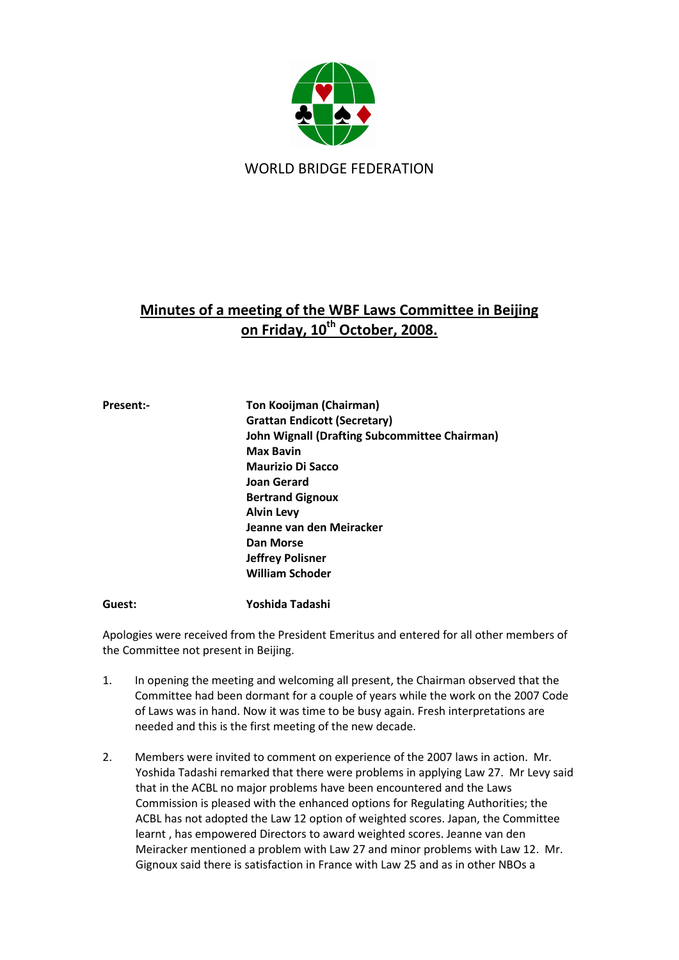

WORLD BRIDGE FEDERATION

# **Minutes of a meeting of the WBF Laws Committee in Beijing on Friday, 10th October, 2008.**

| <b>Present:-</b> | <b>Ton Kooijman (Chairman)</b>                       |
|------------------|------------------------------------------------------|
|                  | <b>Grattan Endicott (Secretary)</b>                  |
|                  | <b>John Wignall (Drafting Subcommittee Chairman)</b> |
|                  | <b>Max Bavin</b>                                     |
|                  | <b>Maurizio Di Sacco</b>                             |
|                  | <b>Joan Gerard</b>                                   |
|                  | <b>Bertrand Gignoux</b>                              |
|                  | <b>Alvin Levy</b>                                    |
|                  | Jeanne van den Meiracker                             |
|                  | Dan Morse                                            |
|                  | <b>Jeffrey Polisner</b>                              |
|                  | <b>William Schoder</b>                               |
| Guest:           | Yoshida Tadashi                                      |

Apologies were received from the President Emeritus and entered for all other members of the Committee not present in Beijing.

- 1. In opening the meeting and welcoming all present, the Chairman observed that the Committee had been dormant for a couple of years while the work on the 2007 Code of Laws was in hand. Now it was time to be busy again. Fresh interpretations are needed and this is the first meeting of the new decade.
- 2. Members were invited to comment on experience of the 2007 laws in action. Mr. Yoshida Tadashi remarked that there were problems in applying Law 27. Mr Levy said that in the ACBL no major problems have been encountered and the Laws Commission is pleased with the enhanced options for Regulating Authorities; the ACBL has not adopted the Law 12 option of weighted scores. Japan, the Committee learnt , has empowered Directors to award weighted scores. Jeanne van den Meiracker mentioned a problem with Law 27 and minor problems with Law 12. Mr. Gignoux said there is satisfaction in France with Law 25 and as in other NBOs a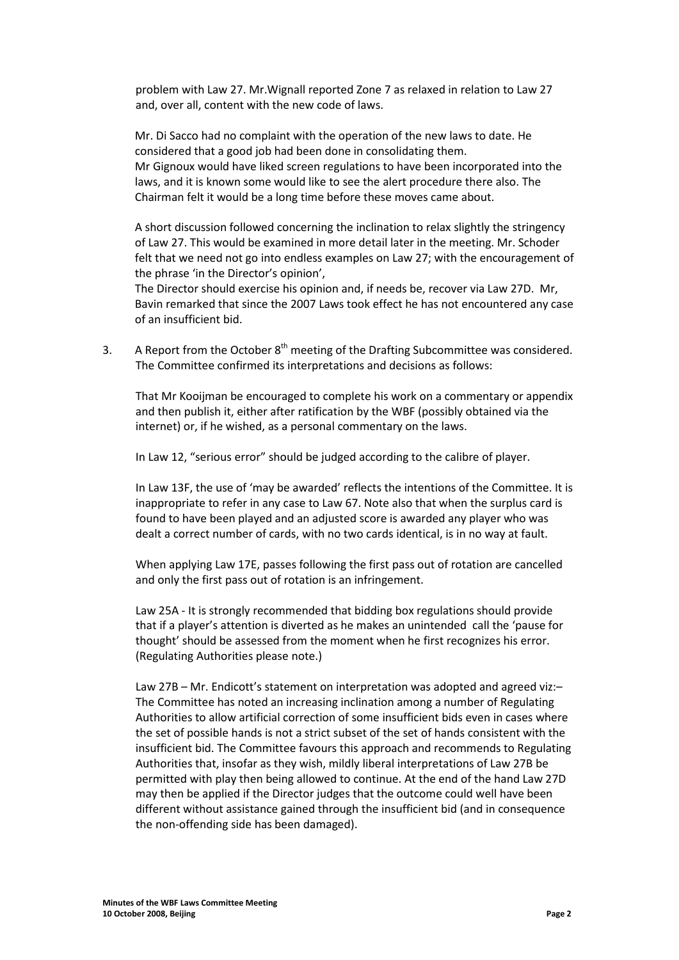problem with Law 27. Mr.Wignall reported Zone 7 as relaxed in relation to Law 27 and, over all, content with the new code of laws.

Mr. Di Sacco had no complaint with the operation of the new laws to date. He considered that a good job had been done in consolidating them. Mr Gignoux would have liked screen regulations to have been incorporated into the laws, and it is known some would like to see the alert procedure there also. The Chairman felt it would be a long time before these moves came about.

A short discussion followed concerning the inclination to relax slightly the stringency of Law 27. This would be examined in more detail later in the meeting. Mr. Schoder felt that we need not go into endless examples on Law 27; with the encouragement of the phrase 'in the Director's opinion',

The Director should exercise his opinion and, if needs be, recover via Law 27D. Mr, Bavin remarked that since the 2007 Laws took effect he has not encountered any case of an insufficient bid.

3. A Report from the October  $8<sup>th</sup>$  meeting of the Drafting Subcommittee was considered. The Committee confirmed its interpretations and decisions as follows:

That Mr Kooijman be encouraged to complete his work on a commentary or appendix and then publish it, either after ratification by the WBF (possibly obtained via the internet) or, if he wished, as a personal commentary on the laws.

In Law 12, "serious error" should be judged according to the calibre of player.

In Law 13F, the use of 'may be awarded' reflects the intentions of the Committee. It is inappropriate to refer in any case to Law 67. Note also that when the surplus card is found to have been played and an adjusted score is awarded any player who was dealt a correct number of cards, with no two cards identical, is in no way at fault.

When applying Law 17E, passes following the first pass out of rotation are cancelled and only the first pass out of rotation is an infringement.

Law 25A - It is strongly recommended that bidding box regulations should provide that if a player's attention is diverted as he makes an unintended call the 'pause for thought' should be assessed from the moment when he first recognizes his error. (Regulating Authorities please note.)

Law 27B – Mr. Endicott's statement on interpretation was adopted and agreed viz:– The Committee has noted an increasing inclination among a number of Regulating Authorities to allow artificial correction of some insufficient bids even in cases where the set of possible hands is not a strict subset of the set of hands consistent with the insufficient bid. The Committee favours this approach and recommends to Regulating Authorities that, insofar as they wish, mildly liberal interpretations of Law 27B be permitted with play then being allowed to continue. At the end of the hand Law 27D may then be applied if the Director judges that the outcome could well have been different without assistance gained through the insufficient bid (and in consequence the non-offending side has been damaged).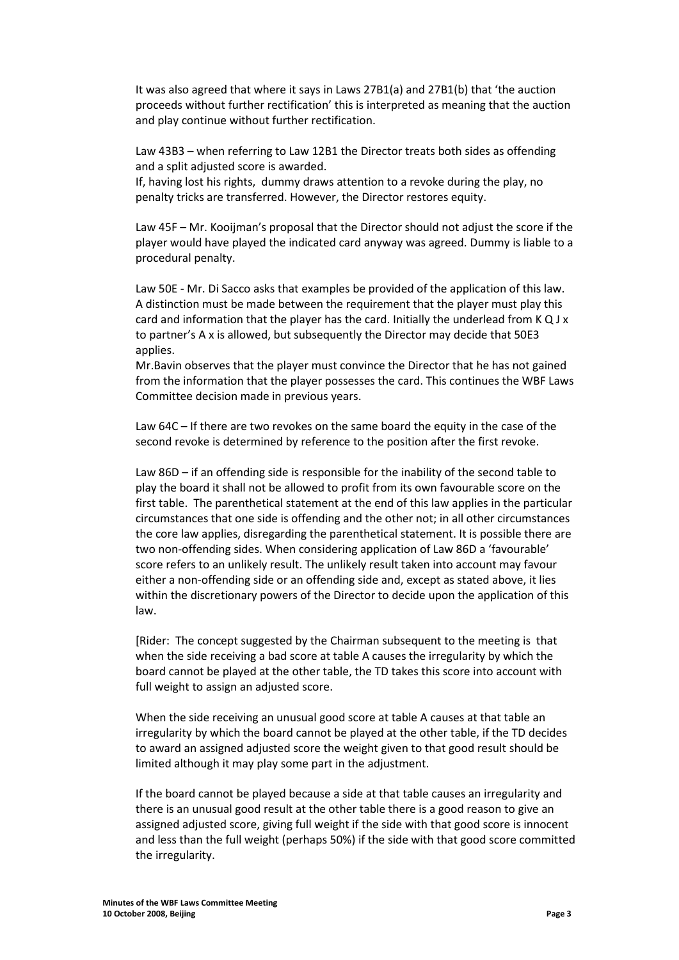It was also agreed that where it says in Laws 27B1(a) and 27B1(b) that 'the auction proceeds without further rectification' this is interpreted as meaning that the auction and play continue without further rectification.

Law 43B3 – when referring to Law 12B1 the Director treats both sides as offending and a split adjusted score is awarded.

If, having lost his rights, dummy draws attention to a revoke during the play, no penalty tricks are transferred. However, the Director restores equity.

Law 45F – Mr. Kooijman's proposal that the Director should not adjust the score if the player would have played the indicated card anyway was agreed. Dummy is liable to a procedural penalty.

Law 50E - Mr. Di Sacco asks that examples be provided of the application of this law. A distinction must be made between the requirement that the player must play this card and information that the player has the card. Initially the underlead from  $KQJx$ to partner's A x is allowed, but subsequently the Director may decide that 50E3 applies.

Mr.Bavin observes that the player must convince the Director that he has not gained from the information that the player possesses the card. This continues the WBF Laws Committee decision made in previous years.

Law 64C – If there are two revokes on the same board the equity in the case of the second revoke is determined by reference to the position after the first revoke.

Law 86D – if an offending side is responsible for the inability of the second table to play the board it shall not be allowed to profit from its own favourable score on the first table. The parenthetical statement at the end of this law applies in the particular circumstances that one side is offending and the other not; in all other circumstances the core law applies, disregarding the parenthetical statement. It is possible there are two non-offending sides. When considering application of Law 86D a 'favourable' score refers to an unlikely result. The unlikely result taken into account may favour either a non-offending side or an offending side and, except as stated above, it lies within the discretionary powers of the Director to decide upon the application of this law.

[Rider: The concept suggested by the Chairman subsequent to the meeting is that when the side receiving a bad score at table A causes the irregularity by which the board cannot be played at the other table, the TD takes this score into account with full weight to assign an adjusted score.

When the side receiving an unusual good score at table A causes at that table an irregularity by which the board cannot be played at the other table, if the TD decides to award an assigned adjusted score the weight given to that good result should be limited although it may play some part in the adjustment.

If the board cannot be played because a side at that table causes an irregularity and there is an unusual good result at the other table there is a good reason to give an assigned adjusted score, giving full weight if the side with that good score is innocent and less than the full weight (perhaps 50%) if the side with that good score committed the irregularity.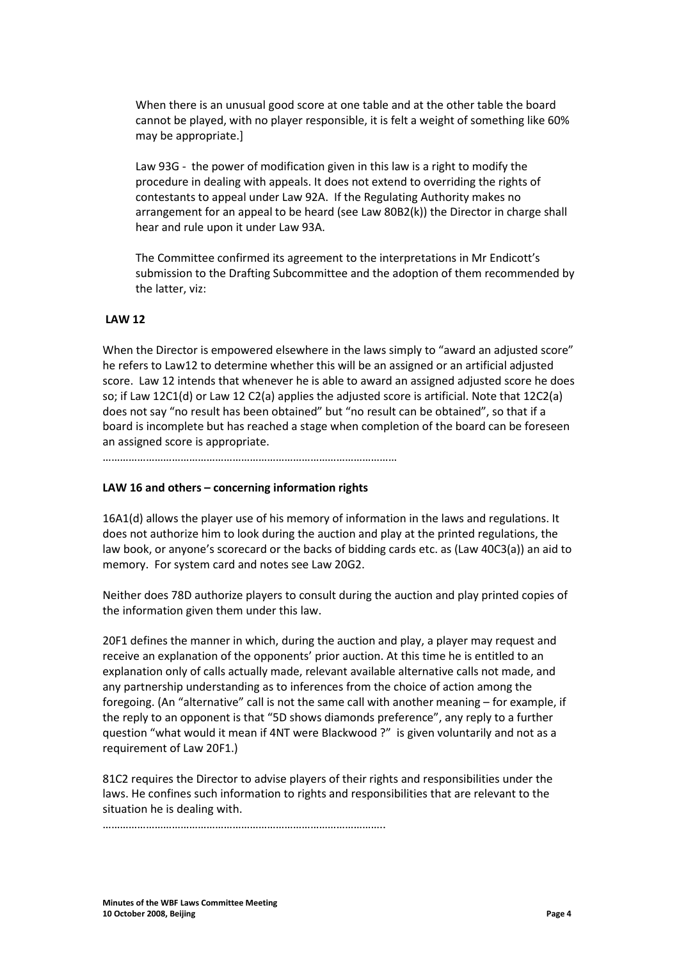When there is an unusual good score at one table and at the other table the board cannot be played, with no player responsible, it is felt a weight of something like 60% may be appropriate.]

Law 93G - the power of modification given in this law is a right to modify the procedure in dealing with appeals. It does not extend to overriding the rights of contestants to appeal under Law 92A. If the Regulating Authority makes no arrangement for an appeal to be heard (see Law 80B2(k)) the Director in charge shall hear and rule upon it under Law 93A.

The Committee confirmed its agreement to the interpretations in Mr Endicott's submission to the Drafting Subcommittee and the adoption of them recommended by the latter, viz:

## **LAW 12**

When the Director is empowered elsewhere in the laws simply to "award an adjusted score" he refers to Law12 to determine whether this will be an assigned or an artificial adjusted score. Law 12 intends that whenever he is able to award an assigned adjusted score he does so; if Law 12C1(d) or Law 12 C2(a) applies the adjusted score is artificial. Note that 12C2(a) does not say "no result has been obtained" but "no result can be obtained", so that if a board is incomplete but has reached a stage when completion of the board can be foreseen an assigned score is appropriate.

…………………………………………………………………………………………

#### **LAW 16 and others – concerning information rights**

16A1(d) allows the player use of his memory of information in the laws and regulations. It does not authorize him to look during the auction and play at the printed regulations, the law book, or anyone's scorecard or the backs of bidding cards etc. as (Law 40C3(a)) an aid to memory. For system card and notes see Law 20G2.

Neither does 78D authorize players to consult during the auction and play printed copies of the information given them under this law.

20F1 defines the manner in which, during the auction and play, a player may request and receive an explanation of the opponents' prior auction. At this time he is entitled to an explanation only of calls actually made, relevant available alternative calls not made, and any partnership understanding as to inferences from the choice of action among the foregoing. (An "alternative" call is not the same call with another meaning – for example, if the reply to an opponent is that "5D shows diamonds preference", any reply to a further question "what would it mean if 4NT were Blackwood ?" is given voluntarily and not as a requirement of Law 20F1.)

81C2 requires the Director to advise players of their rights and responsibilities under the laws. He confines such information to rights and responsibilities that are relevant to the situation he is dealing with.

……………………………………………………………………………………..